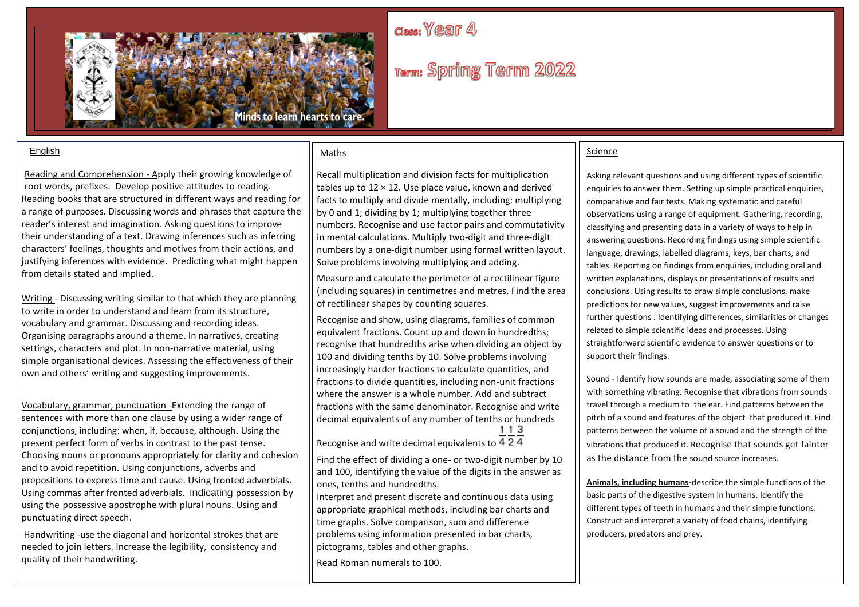# class: Year 4



# Term: Spring Term 2022

#### English

Reading and Comprehension - Apply their growing knowledge of root words, prefixes. Develop positive attitudes to reading. Reading books that are structured in different ways and reading for a range of purposes. Discussing words and phrases that capture the reader's interest and imagination. Asking questions to improve their understanding of a text. Drawing inferences such as inferring characters' feelings, thoughts and motives from their actions, and justifying inferences with evidence. Predicting what might happen from details stated and implied.

Writing - Discussing writing similar to that which they are planning to write in order to understand and learn from its structure, vocabulary and grammar. Discussing and recording ideas. Organising paragraphs around a theme. In narratives, creating settings, characters and plot. In non-narrative material, using simple organisational devices. Assessing the effectiveness of their own and others' writing and suggesting improvements.

Vocabulary, grammar, punctuation -Extending the range of sentences with more than one clause by using a wider range of conjunctions, including: when, if, because, although. Using the present perfect form of verbs in contrast to the past tense. Choosing nouns or pronouns appropriately for clarity and cohesion and to avoid repetition. Using conjunctions, adverbs and prepositions to express time and cause. Using fronted adverbials. Using commas after fronted adverbials. Indicating possession by using the possessive apostrophe with plural nouns. Using and punctuating direct speech.

• Handwriting -use the diagonal and horizontal strokes that are needed to join letters. Increase the legibility, consistency and quality of their handwriting.

#### Maths

Recall multiplication and division facts for multiplication tables up to  $12 \times 12$ . Use place value, known and derived facts to multiply and divide mentally, including: multiplying by 0 and 1; dividing by 1; multiplying together three numbers. Recognise and use factor pairs and commutativity in mental calculations. Multiply two-digit and three-digit numbers by a one-digit number using formal written layout. Solve problems involving multiplying and adding.

Measure and calculate the perimeter of a rectilinear figure (including squares) in centimetres and metres. Find the area of rectilinear shapes by counting squares.

Recognise and show, using diagrams, families of common equivalent fractions. Count up and down in hundredths; recognise that hundredths arise when dividing an object by 100 and dividing tenths by 10. Solve problems involving increasingly harder fractions to calculate quantities, and fractions to divide quantities, including non-unit fractions where the answer is a whole number. Add and subtract fractions with the same denominator. Recognise and write decimal equivalents of any number of tenths or hundreds<br>1 1 3

Recognise and write decimal equivalents to  $4.2.4$ 

Find the effect of dividing a one- or two-digit number by 10 and 100, identifying the value of the digits in the answer as ones, tenths and hundredths.

Interpret and present discrete and continuous data using appropriate graphical methods, including bar charts and time graphs. Solve comparison, sum and difference problems using information presented in bar charts, pictograms, tables and other graphs.

Read Roman numerals to 100.

#### Science

Asking relevant questions and using different types of scientific enquiries to answer them. Setting up simple practical enquiries, comparative and fair tests. Making systematic and careful observations using a range of equipment. Gathering, recording, classifying and presenting data in a variety of ways to help in answering questions. Recording findings using simple scientific language, drawings, labelled diagrams, keys, bar charts, and tables. Reporting on findings from enquiries, including oral and written explanations, displays or presentations of results and conclusions. Using results to draw simple conclusions, make predictions for new values, suggest improvements and raise further questions . Identifying differences, similarities or changes related to simple scientific ideas and processes. Using straightforward scientific evidence to answer questions or to support their findings.

Sound - Identify how sounds are made, associating some of them with something vibrating. Recognise that vibrations from sounds travel through a medium to the ear. Find patterns between the pitch of a sound and features of the object that produced it. Find patterns between the volume of a sound and the strength of the vibrations that produced it. Recognise that sounds get fainter as the distance from the sound source increases.

**Animals, including humans-**describe the simple functions of the basic parts of the digestive system in humans. Identify the different types of teeth in humans and their simple functions. Construct and interpret a variety of food chains, identifying producers, predators and prey.